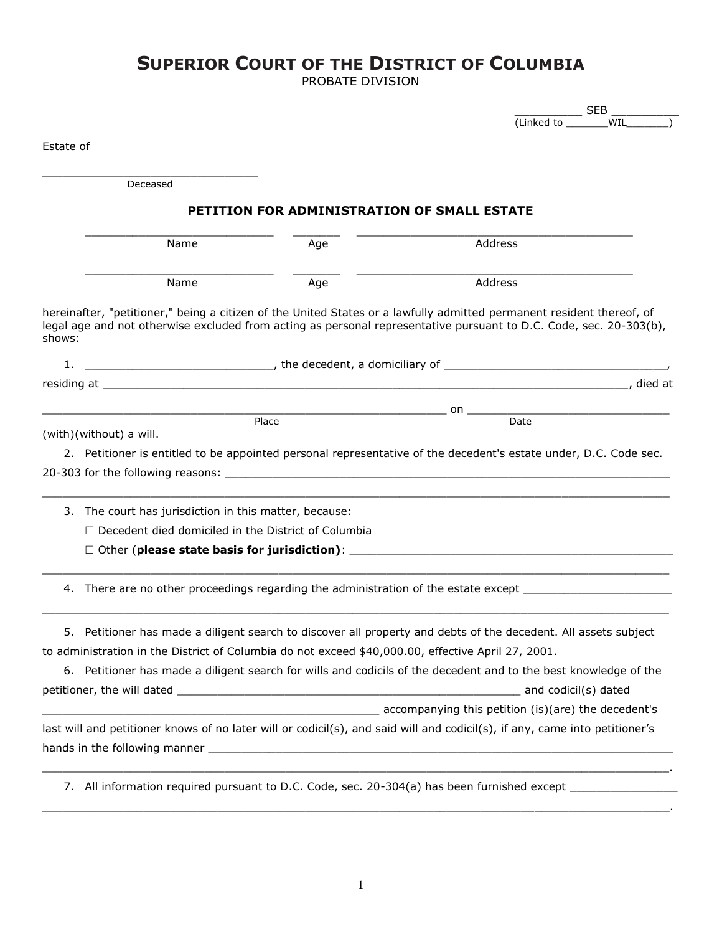# **SUPERIOR COURT OF THE DISTRICT OF COLUMBIA**

PROBATE DIVISION

|           |                                                                                                    |       |                                                                                                                                                                                                                                             | $SEB$ $-$      |  |  |  |  |
|-----------|----------------------------------------------------------------------------------------------------|-------|---------------------------------------------------------------------------------------------------------------------------------------------------------------------------------------------------------------------------------------------|----------------|--|--|--|--|
|           |                                                                                                    |       |                                                                                                                                                                                                                                             | (Linked to WIL |  |  |  |  |
| Estate of |                                                                                                    |       |                                                                                                                                                                                                                                             |                |  |  |  |  |
|           |                                                                                                    |       |                                                                                                                                                                                                                                             |                |  |  |  |  |
|           | Deceased                                                                                           |       |                                                                                                                                                                                                                                             |                |  |  |  |  |
|           |                                                                                                    |       |                                                                                                                                                                                                                                             |                |  |  |  |  |
|           | PETITION FOR ADMINISTRATION OF SMALL ESTATE                                                        |       |                                                                                                                                                                                                                                             |                |  |  |  |  |
|           | Name                                                                                               | Age   | Address                                                                                                                                                                                                                                     |                |  |  |  |  |
|           | Name                                                                                               | Age   | Address                                                                                                                                                                                                                                     |                |  |  |  |  |
| shows:    |                                                                                                    |       | hereinafter, "petitioner," being a citizen of the United States or a lawfully admitted permanent resident thereof, of<br>legal age and not otherwise excluded from acting as personal representative pursuant to D.C. Code, sec. 20-303(b), |                |  |  |  |  |
| 1.        |                                                                                                    |       | $\overline{\phantom{a}}$ , the decedent, a domiciliary of $\overline{\phantom{a}}$                                                                                                                                                          |                |  |  |  |  |
|           |                                                                                                    |       |                                                                                                                                                                                                                                             |                |  |  |  |  |
|           |                                                                                                    |       |                                                                                                                                                                                                                                             |                |  |  |  |  |
|           |                                                                                                    | Place |                                                                                                                                                                                                                                             |                |  |  |  |  |
|           | (with)(without) a will.                                                                            |       |                                                                                                                                                                                                                                             |                |  |  |  |  |
|           |                                                                                                    |       | 2. Petitioner is entitled to be appointed personal representative of the decedent's estate under, D.C. Code sec.                                                                                                                            |                |  |  |  |  |
|           |                                                                                                    |       |                                                                                                                                                                                                                                             |                |  |  |  |  |
|           |                                                                                                    |       |                                                                                                                                                                                                                                             |                |  |  |  |  |
|           | 3. The court has jurisdiction in this matter, because:                                             |       |                                                                                                                                                                                                                                             |                |  |  |  |  |
|           | $\Box$ Decedent died domiciled in the District of Columbia                                         |       |                                                                                                                                                                                                                                             |                |  |  |  |  |
|           |                                                                                                    |       |                                                                                                                                                                                                                                             |                |  |  |  |  |
|           |                                                                                                    |       |                                                                                                                                                                                                                                             |                |  |  |  |  |
|           |                                                                                                    |       | 4. There are no other proceedings regarding the administration of the estate except __________________________                                                                                                                              |                |  |  |  |  |
| 5.        |                                                                                                    |       | Petitioner has made a diligent search to discover all property and debts of the decedent. All assets subject                                                                                                                                |                |  |  |  |  |
|           | to administration in the District of Columbia do not exceed \$40,000.00, effective April 27, 2001. |       |                                                                                                                                                                                                                                             |                |  |  |  |  |
|           |                                                                                                    |       | 6. Petitioner has made a diligent search for wills and codicils of the decedent and to the best knowledge of the                                                                                                                            |                |  |  |  |  |
|           |                                                                                                    |       |                                                                                                                                                                                                                                             |                |  |  |  |  |
|           |                                                                                                    |       | accompanying this petition (is)(are) the decedent's                                                                                                                                                                                         |                |  |  |  |  |
|           |                                                                                                    |       | last will and petitioner knows of no later will or codicil(s), and said will and codicil(s), if any, came into petitioner's                                                                                                                 |                |  |  |  |  |
|           |                                                                                                    |       |                                                                                                                                                                                                                                             |                |  |  |  |  |
|           |                                                                                                    |       |                                                                                                                                                                                                                                             |                |  |  |  |  |
|           |                                                                                                    |       |                                                                                                                                                                                                                                             |                |  |  |  |  |
|           |                                                                                                    |       | 7. All information required pursuant to D.C. Code, sec. 20-304(a) has been furnished except _________________                                                                                                                               |                |  |  |  |  |
|           |                                                                                                    |       |                                                                                                                                                                                                                                             |                |  |  |  |  |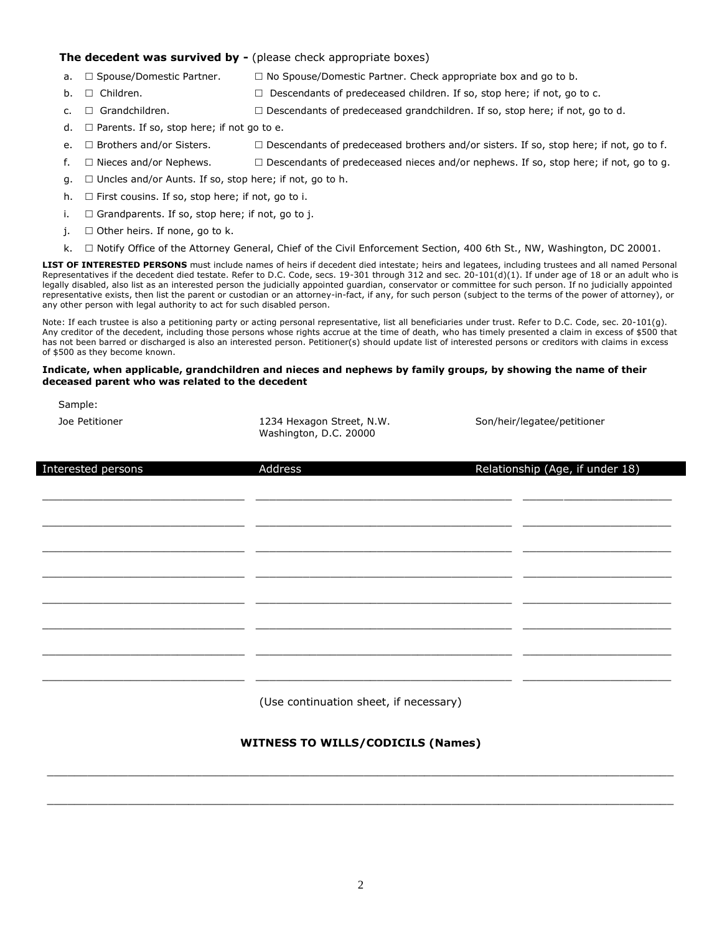#### **The decedent was survived by -** (please check appropriate boxes)

- a.  $\Box$  Spouse/Domestic Partner.  $\Box$  No Spouse/Domestic Partner. Check appropriate box and go to b.
- b.  $\Box$  Children.  $\Box$  Descendants of predeceased children. If so, stop here; if not, go to c.
- c.  $\Box$  Grandchildren.  $\Box$  Descendants of predeceased grandchildren. If so, stop here; if not, go to d.
- d.  $\Box$  Parents. If so, stop here; if not go to e.
- e.  $\Box$  Brothers and/or Sisters.  $\Box$  Descendants of predeceased brothers and/or sisters. If so, stop here; if not, go to f.
- f.  $\Box$  Nieces and/or Nephews.  $\Box$  Descendants of predeceased nieces and/or nephews. If so, stop here; if not, go to g.
- $g. \Box$  Uncles and/or Aunts. If so, stop here; if not, go to h.
- h.  $\Box$  First cousins. If so, stop here; if not, go to i.
- i.  $\Box$  Grandparents. If so, stop here; if not, go to j.
- $i.$   $\square$  Other heirs. If none, go to k.
- k.  $\Box$  Notify Office of the Attorney General, Chief of the Civil Enforcement Section, 400 6th St., NW, Washington, DC 20001.

**LIST OF INTERESTED PERSONS** must include names of heirs if decedent died intestate; heirs and legatees, including trustees and all named Personal Representatives if the decedent died testate. Refer to D.C. Code, secs. 19-301 through 312 and sec. 20-101(d)(1). If under age of 18 or an adult who is legally disabled, also list as an interested person the judicially appointed guardian, conservator or committee for such person. If no judicially appointed representative exists, then list the parent or custodian or an attorney-in-fact, if any, for such person (subject to the terms of the power of attorney), or any other person with legal authority to act for such disabled person.

Note: If each trustee is also a petitioning party or acting personal representative, list all beneficiaries under trust. Refer to D.C. Code, sec. 20-101(g). Any creditor of the decedent, including those persons whose rights accrue at the time of death, who has timely presented a claim in excess of \$500 that has not been barred or discharged is also an interested person. Petitioner(s) should update list of interested persons or creditors with claims in excess of \$500 as they become known.

#### **Indicate, when applicable, grandchildren and nieces and nephews by family groups, by showing the name of their deceased parent who was related to the decedent**

Sample:

Joe Petitioner **1234 Hexagon Street, N.W.** Washington, D.C. 20000

Son/heir/legatee/petitioner

| Interested persons | Address                                | Relationship (Age, if under 18) |
|--------------------|----------------------------------------|---------------------------------|
|                    |                                        |                                 |
|                    |                                        |                                 |
|                    |                                        |                                 |
|                    |                                        |                                 |
|                    |                                        |                                 |
|                    |                                        |                                 |
|                    |                                        |                                 |
|                    | (Use continuation sheet, if necessary) |                                 |

### **WITNESS TO WILLS/CODICILS (Names)**

 $\_$  ,  $\_$  ,  $\_$  ,  $\_$  ,  $\_$  ,  $\_$  ,  $\_$  ,  $\_$  ,  $\_$  ,  $\_$  ,  $\_$  ,  $\_$  ,  $\_$  ,  $\_$  ,  $\_$  ,  $\_$  ,  $\_$  ,  $\_$  ,  $\_$  ,  $\_$  ,  $\_$  ,  $\_$  ,  $\_$  ,  $\_$  ,  $\_$  ,  $\_$  ,  $\_$  ,  $\_$  ,  $\_$  ,  $\_$  ,  $\_$  ,  $\_$  ,  $\_$  ,  $\_$  ,  $\_$  ,  $\_$  ,  $\_$  ,

 $\_$  ,  $\_$  ,  $\_$  ,  $\_$  ,  $\_$  ,  $\_$  ,  $\_$  ,  $\_$  ,  $\_$  ,  $\_$  ,  $\_$  ,  $\_$  ,  $\_$  ,  $\_$  ,  $\_$  ,  $\_$  ,  $\_$  ,  $\_$  ,  $\_$  ,  $\_$  ,  $\_$  ,  $\_$  ,  $\_$  ,  $\_$  ,  $\_$  ,  $\_$  ,  $\_$  ,  $\_$  ,  $\_$  ,  $\_$  ,  $\_$  ,  $\_$  ,  $\_$  ,  $\_$  ,  $\_$  ,  $\_$  ,  $\_$  ,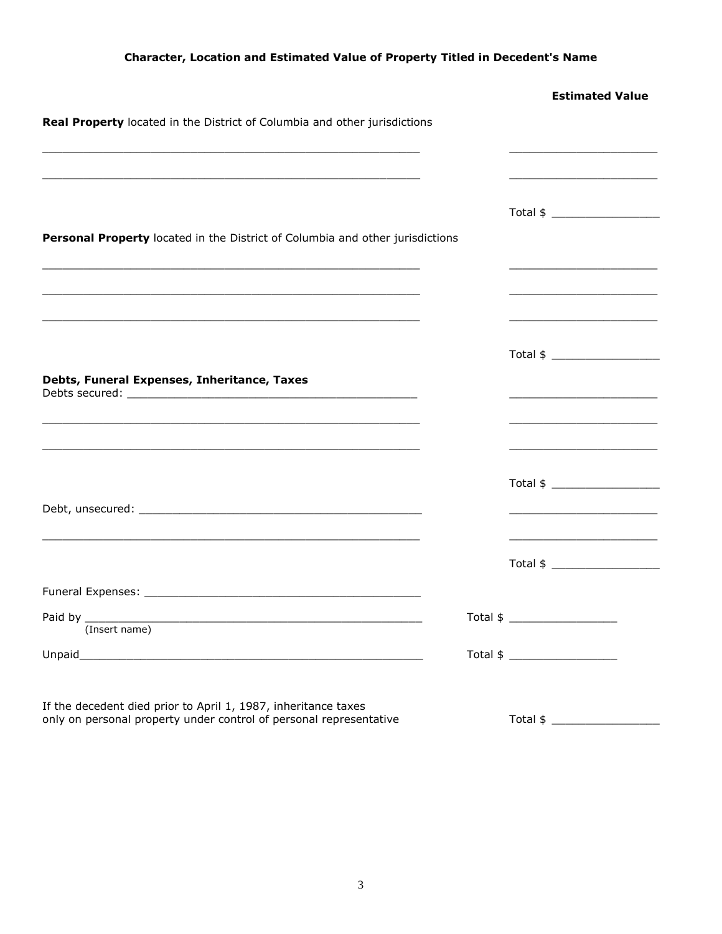### **Character, Location and Estimated Value of Property Titled in Decedent's Name**

|                                                                                                                                                       | <b>Estimated Value</b>                                                                                                |
|-------------------------------------------------------------------------------------------------------------------------------------------------------|-----------------------------------------------------------------------------------------------------------------------|
| Real Property located in the District of Columbia and other jurisdictions                                                                             |                                                                                                                       |
| <u> 1989 - Johann Harry Harry Harry Harry Harry Harry Harry Harry Harry Harry Harry Harry Harry Harry Harry Harry</u>                                 | <u> 1980 - Johann John Stoff, deutscher Stoffen und der Stoffen und der Stoffen und der Stoffen und der Stoffen u</u> |
|                                                                                                                                                       |                                                                                                                       |
| Personal Property located in the District of Columbia and other jurisdictions                                                                         |                                                                                                                       |
| <u> 1989 - Johann Barn, mars an t-Amerikaansk kommunister (* 1958)</u>                                                                                |                                                                                                                       |
| <u> 1989 - Johann John Stone, markin sanadi amerikan bahasa dalam kemasana dalam kemasana dalam kemasana dalam k</u>                                  |                                                                                                                       |
|                                                                                                                                                       |                                                                                                                       |
| Debts, Funeral Expenses, Inheritance, Taxes                                                                                                           |                                                                                                                       |
|                                                                                                                                                       | <u> 1989 - Johann John Stein, fransk politik (d. 1989)</u>                                                            |
| <u> 1989 - Johann Stoff, deutscher Stoff, der Stoff, der Stoff, der Stoff, der Stoff, der Stoff, der Stoff, der S</u>                                 |                                                                                                                       |
|                                                                                                                                                       |                                                                                                                       |
|                                                                                                                                                       |                                                                                                                       |
|                                                                                                                                                       |                                                                                                                       |
|                                                                                                                                                       |                                                                                                                       |
| Paid by $\_$<br><u> 1989 - Johann Barn, amerikan berkema di sebagai berkema dan berkema di sebagai berkema di sebagai berkema di</u><br>(Insert name) |                                                                                                                       |
|                                                                                                                                                       |                                                                                                                       |
| If the decedent died prior to April 1, 1987, inheritance taxes                                                                                        |                                                                                                                       |
| only on personal property under control of personal representative                                                                                    | Total \$                                                                                                              |